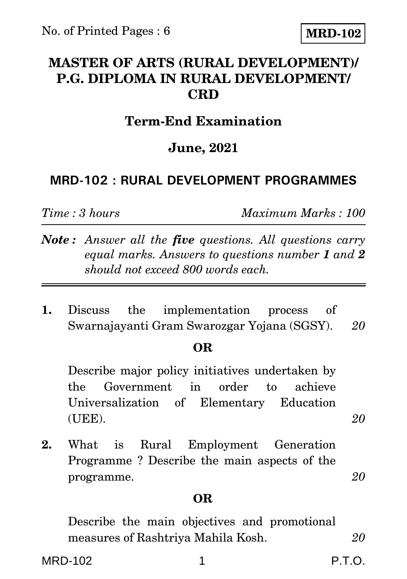# **MASTER OF ARTS (RURAL DEVELOPMENT)/ P.G. DIPLOMA IN RURAL DEVELOPMENT/ CRD**

# **Term-End Examination**

### **June, 2021**

### **MRD-102 : RURAL DEVELOPMENT PROGRAMMES**

*Time : 3 hours Maximum Marks : 100*

- *Note : Answer all the five questions. All questions carry equal marks. Answers to questions number 1 and 2 should not exceed 800 words each.*
- **1.** Discuss the implementation process of Swarnajayanti Gram Swarozgar Yojana (SGSY). *20*

### **OR**

Describe major policy initiatives undertaken by the Government in order to achieve Universalization of Elementary Education (UEE). *20*

**2.** What is Rural Employment Generation Programme ? Describe the main aspects of the programme. *20*

### **OR**

Describe the main objectives and promotional measures of Rashtriya Mahila Kosh. *20*

MRD-102 1 P.T.O. P.T.O.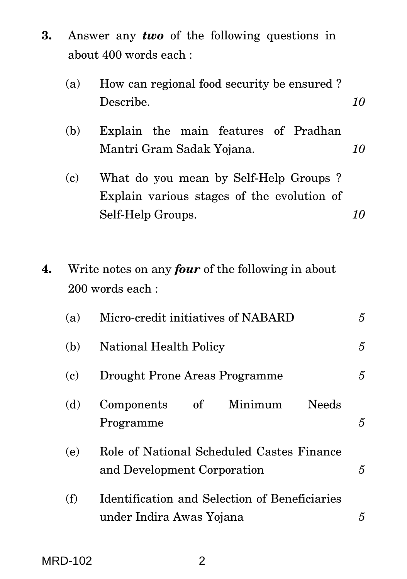**3.** Answer any *two* of the following questions in about 400 words each :

|    | (a) | How can regional food security be ensured?<br>Describe.                                                  | 10             |
|----|-----|----------------------------------------------------------------------------------------------------------|----------------|
|    | (b) | Explain the main features of Pradhan<br>Mantri Gram Sadak Yojana.                                        | 10             |
|    | (c) | What do you mean by Self-Help Groups?<br>Explain various stages of the evolution of<br>Self-Help Groups. | 10             |
| 4. |     | Write notes on any <i>four</i> of the following in about<br>200 words each:                              |                |
|    | (a) | Micro-credit initiatives of NABARD                                                                       | 5              |
|    | (b) | <b>National Health Policy</b>                                                                            | 5              |
|    | (c) | <b>Drought Prone Areas Programme</b>                                                                     | $\overline{5}$ |
|    | (d) | Minimum<br><b>Needs</b><br>Components<br>of<br>Programme                                                 | 5              |
|    | (e) | Role of National Scheduled Castes Finance<br>and Development Corporation                                 | $\overline{5}$ |
|    | (f) | Identification and Selection of Beneficiaries<br>under Indira Awas Yojana                                | 5              |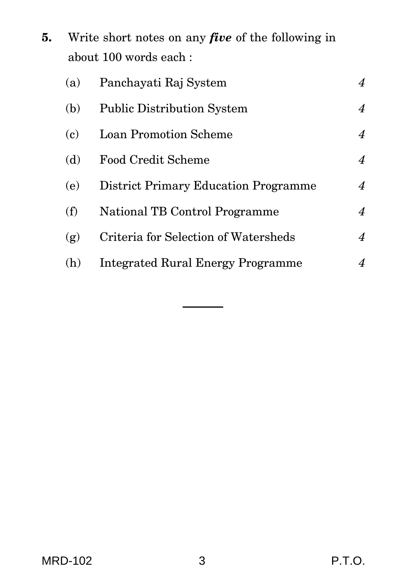**5.** Write short notes on any *five* of the following in about 100 words each :

| (a) | Panchayati Raj System                    | 4                |
|-----|------------------------------------------|------------------|
| (b) | <b>Public Distribution System</b>        | 4                |
| (c) | <b>Loan Promotion Scheme</b>             | $\boldsymbol{4}$ |
| (d) | <b>Food Credit Scheme</b>                | 4                |
| (e) | District Primary Education Programme     | $\boldsymbol{4}$ |
| (f) | National TB Control Programme            | $\boldsymbol{4}$ |
| (g) | Criteria for Selection of Watersheds     | 4                |
| (h) | <b>Integrated Rural Energy Programme</b> | 4                |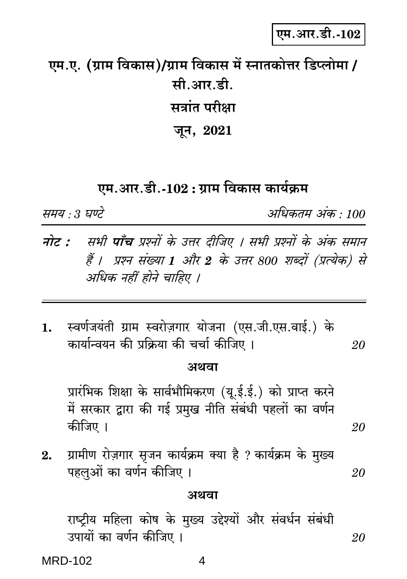20

**MRD-102** 

# एम.आर.डी.-102

# एम.ए. (ग्राम विकास)/ग्राम विकास में स्नातकोत्तर डिप्लोमा / मी.आर.डी. सत्रांत परीक्षा जून, 2021

# एम.आर.डी.-102 : ग्राम विकास कार्यक्रम

समय : 3 घण्टे

- सभी **पाँच** प्रश्नों के उत्तर दीजिए । सभी प्रश्नों के अंक समान नोट : हैं । प्रश्न संख्या 1 और 2 के उत्तर 800 शब्दों (प्रत्येक) से अधिक नहीं होने चाहिए ।
- स्वर्णजयंती ग्राम स्वरोज़गार योजना (एस.जी.एस.वाई.) के 1. कार्यान्वयन की प्रक्रिया की चर्चा कीजिए । 20

### अथवा

प्रारंभिक शिक्षा के सार्वभौमिकरण (यू.ई.ई.) को प्राप्त करने में सरकार द्वारा की गई प्रमुख नीति संबंधी पहलों का वर्णन कीजिए ।

ग्रामीण रोज़गार सृजन कार्यक्रम क्या है ? कार्यक्रम के मुख्य  $2.$ पहलुओं का वर्णन कीजिए । 20

#### अथवा

राष्ट्रीय महिला कोष के मुख्य उद्देश्यों और संवर्धन संबंधी उपायों का वर्णन कीजिए । 20

4

अधिकतम अंक : 100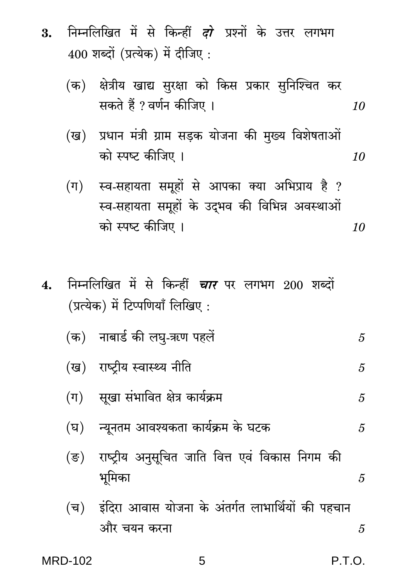- निम्नलिखित में से किन्हीं *दो* प्रश्नों के उत्तर लगभग 3.  $400$  शब्दों (प्रत्येक) में दीजिए :
	- (क) क्षेत्रीय खाद्य सुरक्षा को किस प्रकार सुनिश्चित कर सकते हैं ? वर्णन कीजिए । 10
	- प्रधान मंत्री ग्राम सड़क योजना की मुख्य विशेषताओं (ख) को स्पष्ट कीजिए । 10
	- (ग) स्व-सहायता समूहों से आपका क्या अभिप्राय है ? स्व-सहायता समूहों के उद्भव की विभिन्न अवस्थाओं को स्पष्ट कीजिए । 10
- निम्नलिखित में से किन्हीं *चार* पर लगभग 200 शब्दों  $\overline{4}$ . (प्रत्येक) में टिप्पणियाँ लिखिए:

$$
( ) \quad \text{ and } \quad 5
$$

- (ख) राष्टीय स्वास्थ्य नीति 5
- सूखा संभावित क्षेत्र कार्यक्रम  $(\pi)$ 5
- न्युनतम आवश्यकता कार्यक्रम के घटक (घ) 5
- राष्ट्रीय अनुसूचित जाति वित्त एवं विकास निगम की  $(\overline{S})$ भूमिका 5
- इंदिरा आवास योजना के अंतर्गत लाभार्थियों की पहचान (च) और चयन करना 5

5